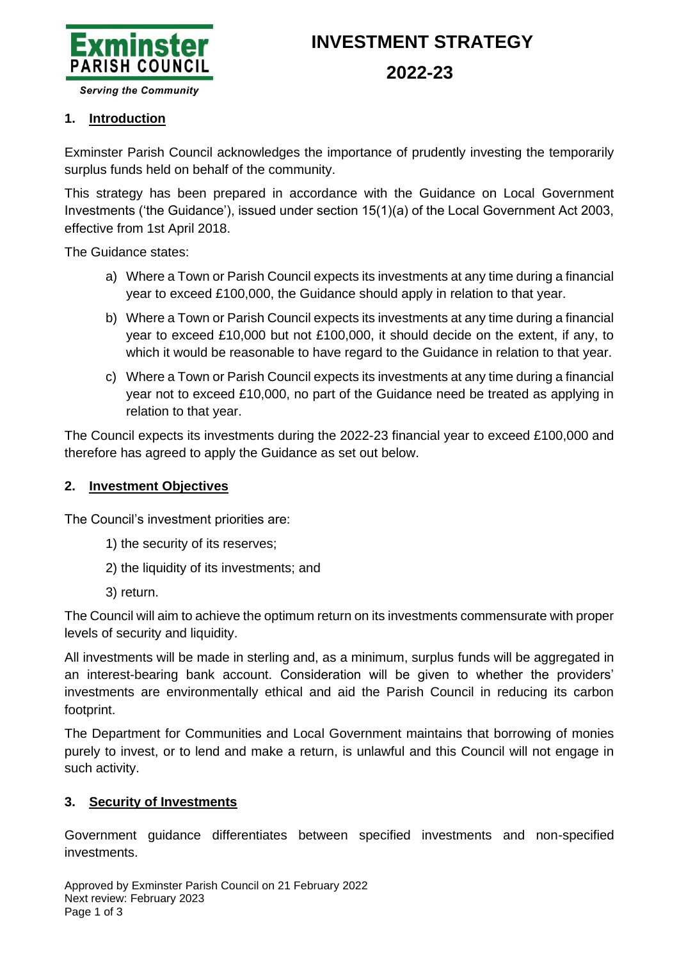

# **INVESTMENT STRATEGY**

### **2022-23**

**Serving the Community** 

#### **1. Introduction**

Exminster Parish Council acknowledges the importance of prudently investing the temporarily surplus funds held on behalf of the community.

This strategy has been prepared in accordance with the Guidance on Local Government Investments ('the Guidance'), issued under section 15(1)(a) of the Local Government Act 2003, effective from 1st April 2018.

The Guidance states:

- a) Where a Town or Parish Council expects its investments at any time during a financial year to exceed £100,000, the Guidance should apply in relation to that year.
- b) Where a Town or Parish Council expects its investments at any time during a financial year to exceed £10,000 but not £100,000, it should decide on the extent, if any, to which it would be reasonable to have regard to the Guidance in relation to that year.
- c) Where a Town or Parish Council expects its investments at any time during a financial year not to exceed £10,000, no part of the Guidance need be treated as applying in relation to that year.

The Council expects its investments during the 2022-23 financial year to exceed £100,000 and therefore has agreed to apply the Guidance as set out below.

#### **2. Investment Objectives**

The Council's investment priorities are:

- 1) the security of its reserves;
- 2) the liquidity of its investments; and
- 3) return.

The Council will aim to achieve the optimum return on its investments commensurate with proper levels of security and liquidity.

All investments will be made in sterling and, as a minimum, surplus funds will be aggregated in an interest-bearing bank account. Consideration will be given to whether the providers' investments are environmentally ethical and aid the Parish Council in reducing its carbon footprint.

The Department for Communities and Local Government maintains that borrowing of monies purely to invest, or to lend and make a return, is unlawful and this Council will not engage in such activity.

#### **3. Security of Investments**

Government guidance differentiates between specified investments and non-specified investments.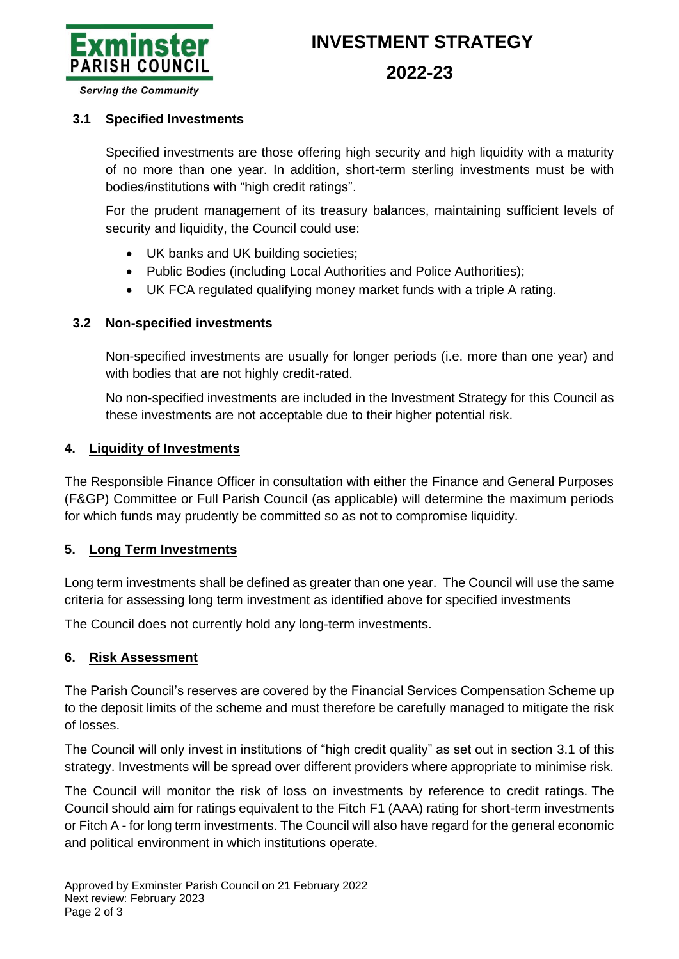

# **INVESTMENT STRATEGY**

**2022-23**

**Serving the Community** 

#### <span id="page-1-0"></span>**3.1 Specified Investments**

Specified investments are those offering high security and high liquidity with a maturity of no more than one year. In addition, short-term sterling investments must be with bodies/institutions with "high credit ratings".

For the prudent management of its treasury balances, maintaining sufficient levels of security and liquidity, the Council could use:

- UK banks and UK building societies;
- Public Bodies (including Local Authorities and Police Authorities);
- UK FCA regulated qualifying money market funds with a triple A rating.

#### **3.2 Non-specified investments**

Non-specified investments are usually for longer periods (i.e. more than one year) and with bodies that are not highly credit-rated.

No non-specified investments are included in the Investment Strategy for this Council as these investments are not acceptable due to their higher potential risk.

#### **4. Liquidity of Investments**

The Responsible Finance Officer in consultation with either the Finance and General Purposes (F&GP) Committee or Full Parish Council (as applicable) will determine the maximum periods for which funds may prudently be committed so as not to compromise liquidity.

#### **5. Long Term Investments**

Long term investments shall be defined as greater than one year. The Council will use the same criteria for assessing long term investment as identified above for specified investments

The Council does not currently hold any long-term investments.

#### **6. Risk Assessment**

The Parish Council's reserves are covered by the Financial Services Compensation Scheme up to the deposit limits of the scheme and must therefore be carefully managed to mitigate the risk of losses.

The Council will only invest in institutions of "high credit quality" as set out in section [3.1](#page-1-0) of this strategy. Investments will be spread over different providers where appropriate to minimise risk.

The Council will monitor the risk of loss on investments by reference to credit ratings. The Council should aim for ratings equivalent to the Fitch F1 (AAA) rating for short-term investments or Fitch A - for long term investments. The Council will also have regard for the general economic and political environment in which institutions operate.